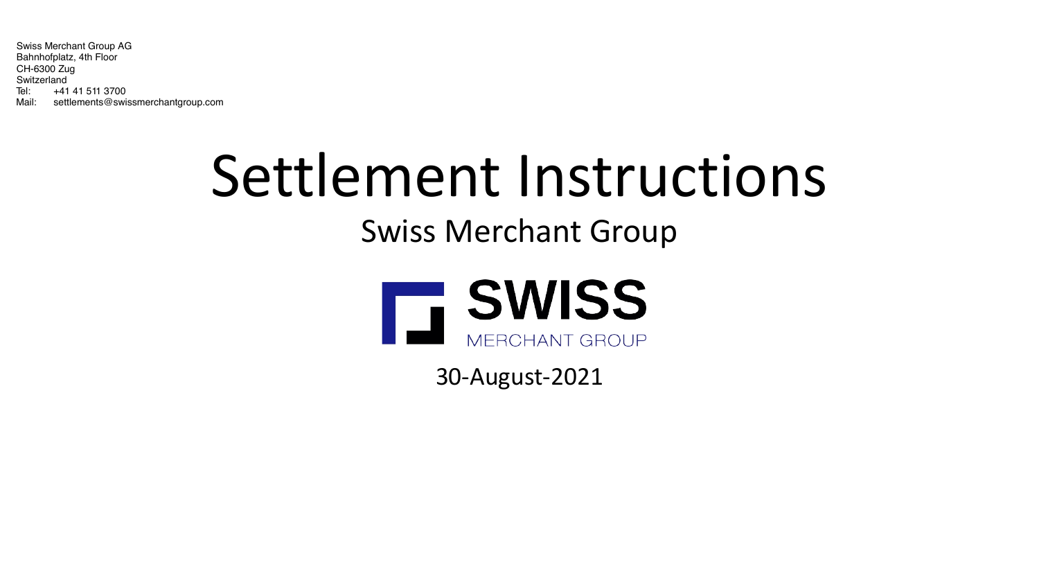

## Settlement Instructions

## Swiss Merchant Group

30-August-2021

Global Investment Strategy UK Limited is Authorised and Regulated by the Financial Conduct Authority 437558, [www.fca.org.uk/register](http://www.fca.org.uk/register) and is a member of the London Stock Exchange. Global Investment Strategy UK Limited is a company number 04576299 and whose registered office is at: 2<sup>nd</sup> Floor, Solar House, 915 High Road, London N12 8QJ.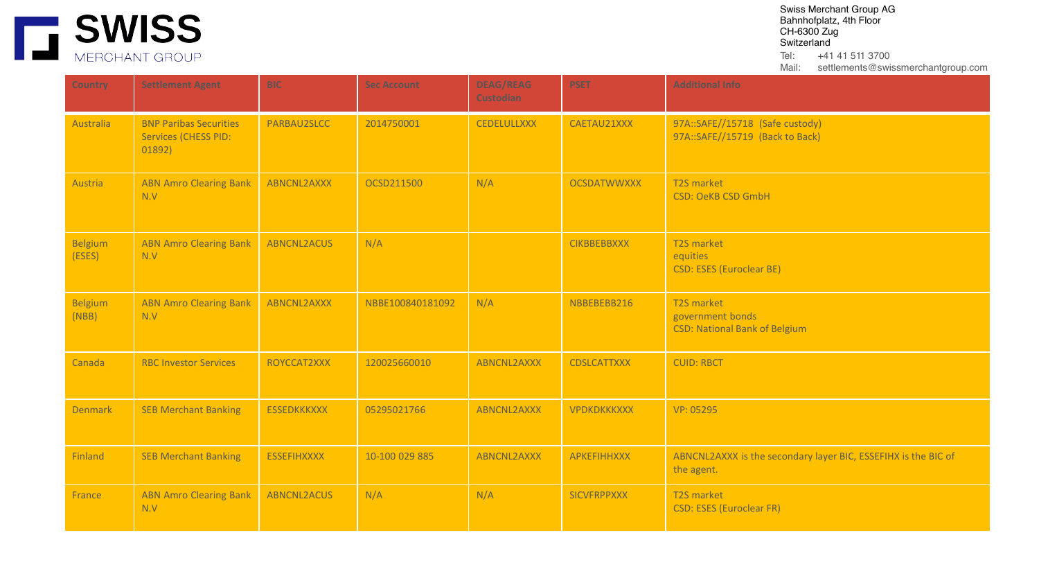

| <b>Country</b>           | <b>Settlement Agent</b>                                                | <b>BIC</b>         | <b>Sec Account</b> | <b>DEAG/REAG</b><br><b>Custodian</b> | <b>PSET</b>        | <b>Additional Info</b>                                                       |
|--------------------------|------------------------------------------------------------------------|--------------------|--------------------|--------------------------------------|--------------------|------------------------------------------------------------------------------|
| Australia                | <b>BNP Paribas Securities</b><br><b>Services (CHESS PID:</b><br>01892) | PARBAU2SLCC        | 2014750001         | <b>CEDELULLXXX</b>                   | CAETAU21XXX        | 97A::SAFE//15718 (Safe custody)<br>97A::SAFE//15719 (Back to Back)           |
| Austria                  | <b>ABN Amro Clearing Bank</b><br>N.V                                   | ABNCNL2AXXX        | OCSD211500         | N/A                                  | <b>OCSDATWWXXX</b> | T2S market<br><b>CSD: OeKB CSD GmbH</b>                                      |
| <b>Belgium</b><br>(ESES) | <b>ABN Amro Clearing Bank</b><br>N.V                                   | ABNCNL2ACUS        | N/A                |                                      | <b>CIKBBEBBXXX</b> | T2S market<br>equities<br><b>CSD: ESES (Euroclear BE)</b>                    |
| <b>Belgium</b><br>(NBB)  | <b>ABN Amro Clearing Bank</b><br>N.V                                   | ABNCNL2AXXX        | NBBE100840181092   | N/A                                  | NBBEBEBB216        | T2S market<br>government bonds<br><b>CSD: National Bank of Belgium</b>       |
| Canada                   | <b>RBC Investor Services</b>                                           | ROYCCAT2XXX        | 120025660010       | <b>ABNCNL2AXXX</b>                   | <b>CDSLCATTXXX</b> | <b>CUID: RBCT</b>                                                            |
| <b>Denmark</b>           | <b>SEB Merchant Banking</b>                                            | <b>ESSEDKKKXXX</b> | 05295021766        | <b>ABNCNL2AXXX</b>                   | <b>VPDKDKKKXXX</b> | VP: 05295                                                                    |
| Finland                  | <b>SEB Merchant Banking</b>                                            | <b>ESSEFIHXXXX</b> | 10-100 029 885     | ABNCNL2AXXX                          | <b>APKEFIHHXXX</b> | ABNCNL2AXXX is the secondary layer BIC, ESSEFIHX is the BIC of<br>the agent. |
| France                   | <b>ABN Amro Clearing Bank</b><br>N.V                                   | <b>ABNCNL2ACUS</b> | N/A                | N/A                                  | <b>SICVFRPPXXX</b> | T2S market<br><b>CSD: ESES (Euroclear FR)</b>                                |

Global Investment Strategy UK Limited is Authorised and Regulated by the Financial Conduct Authority 437558, [www.fca.org.uk/register](http://www.fca.org.uk/register) and is a member of the London Stock Exchange. Global Investment Strategy UK Limited is a company number 04576299 and whose registered office is at: 2nd Floor, Solar House, 915 High Road, London N12 8QJ.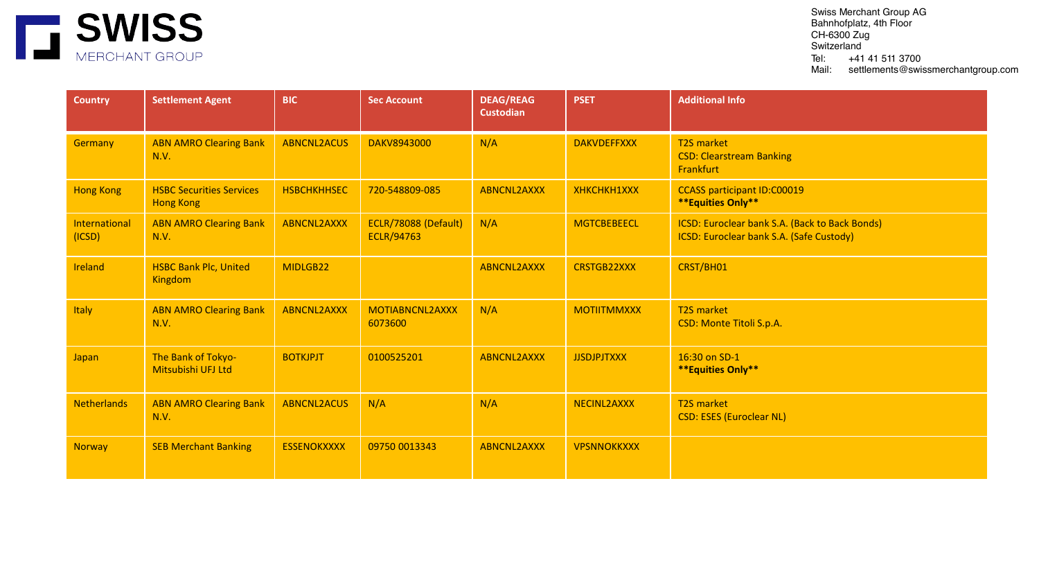

| <b>Country</b>          | <b>Settlement Agent</b>                             | <b>BIC</b>         | <b>Sec Account</b>                        | <b>DEAG/REAG</b><br><b>Custodian</b> | <b>PSET</b>        | <b>Additional Info</b>                                                                     |
|-------------------------|-----------------------------------------------------|--------------------|-------------------------------------------|--------------------------------------|--------------------|--------------------------------------------------------------------------------------------|
| Germany                 | <b>ABN AMRO Clearing Bank</b><br>N.V.               | <b>ABNCNL2ACUS</b> | DAKV8943000                               | N/A                                  | <b>DAKVDEFFXXX</b> | <b>T2S market</b><br><b>CSD: Clearstream Banking</b><br>Frankfurt                          |
| <b>Hong Kong</b>        | <b>HSBC Securities Services</b><br><b>Hong Kong</b> | <b>HSBCHKHHSEC</b> | 720-548809-085                            | <b>ABNCNL2AXXX</b>                   | XHKCHKH1XXX        | <b>CCASS participant ID:C00019</b><br><b>**Equities Only**</b>                             |
| International<br>(ICSD) | <b>ABN AMRO Clearing Bank</b><br>N.V.               | <b>ABNCNL2AXXX</b> | ECLR/78088 (Default)<br><b>ECLR/94763</b> | N/A                                  | <b>MGTCBEBEECL</b> | ICSD: Euroclear bank S.A. (Back to Back Bonds)<br>ICSD: Euroclear bank S.A. (Safe Custody) |
| Ireland                 | <b>HSBC Bank Plc, United</b><br><b>Kingdom</b>      | MIDLGB22           |                                           | <b>ABNCNL2AXXX</b>                   | <b>CRSTGB22XXX</b> | CRST/BH01                                                                                  |
| Italy                   | <b>ABN AMRO Clearing Bank</b><br>N.V.               | <b>ABNCNL2AXXX</b> | MOTIABNCNL2AXXX<br>6073600                | N/A                                  | <b>MOTIITMMXXX</b> | <b>T2S market</b><br><b>CSD: Monte Titoli S.p.A.</b>                                       |
| Japan                   | The Bank of Tokyo-<br>Mitsubishi UFJ Ltd            | <b>BOTKJPJT</b>    | 0100525201                                | <b>ABNCNL2AXXX</b>                   | <b>JJSDJPJTXXX</b> | 16:30 on SD-1<br><b>**Equities Only**</b>                                                  |
| <b>Netherlands</b>      | <b>ABN AMRO Clearing Bank</b><br>N.V.               | <b>ABNCNL2ACUS</b> | N/A                                       | N/A                                  | NECINL2AXXX        | <b>T2S market</b><br><b>CSD: ESES (Euroclear NL)</b>                                       |
| <b>Norway</b>           | <b>SEB Merchant Banking</b>                         | <b>ESSENOKXXXX</b> | 09750 0013343                             | <b>ABNCNL2AXXX</b>                   | <b>VPSNNOKKXXX</b> |                                                                                            |

Global Investment Strategy UK Limited is Authorised and Regulated by the Financial Conduct Authority 437558, [www.fca.org.uk/register](http://www.fca.org.uk/register) and is a member of the London Stock Exchange. Global Investment Strategy UK Limited is a company number 04576299 and whose registered office is at: 2nd Floor, Solar House, 915 High Road, London N12 8QJ.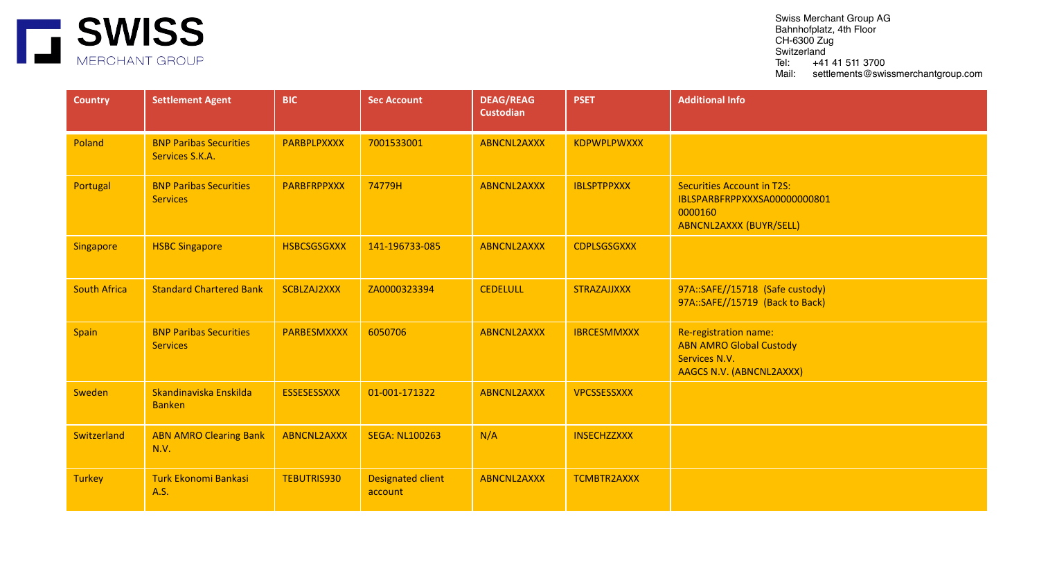

| <b>Country</b>      | <b>Settlement Agent</b>                          | <b>BIC</b>         | <b>Sec Account</b>           | <b>DEAG/REAG</b><br><b>Custodian</b> | <b>PSET</b>        | <b>Additional Info</b>                                                                                  |
|---------------------|--------------------------------------------------|--------------------|------------------------------|--------------------------------------|--------------------|---------------------------------------------------------------------------------------------------------|
| Poland              | <b>BNP Paribas Securities</b><br>Services S.K.A. | <b>PARBPLPXXXX</b> | 7001533001                   | <b>ABNCNL2AXXX</b>                   | <b>KDPWPLPWXXX</b> |                                                                                                         |
| Portugal            | <b>BNP Paribas Securities</b><br><b>Services</b> | <b>PARBFRPPXXX</b> | 74779H                       | <b>ABNCNL2AXXX</b>                   | <b>IBLSPTPPXXX</b> | <b>Securities Account in T2S:</b><br>IBLSPARBFRPPXXXSA00000000801<br>0000160<br>ABNCNL2AXXX (BUYR/SELL) |
| <b>Singapore</b>    | <b>HSBC Singapore</b>                            | <b>HSBCSGSGXXX</b> | 141-196733-085               | <b>ABNCNL2AXXX</b>                   | <b>CDPLSGSGXXX</b> |                                                                                                         |
| <b>South Africa</b> | <b>Standard Chartered Bank</b>                   | SCBLZAJ2XXX        | ZA0000323394                 | <b>CEDELULL</b>                      | <b>STRAZAJJXXX</b> | 97A::SAFE//15718 (Safe custody)<br>97A::SAFE//15719 (Back to Back)                                      |
| <b>Spain</b>        | <b>BNP Paribas Securities</b><br><b>Services</b> | PARBESMXXXX        | 6050706                      | <b>ABNCNL2AXXX</b>                   | <b>IBRCESMMXXX</b> | Re-registration name:<br><b>ABN AMRO Global Custody</b><br>Services N.V.<br>AAGCS N.V. (ABNCNL2AXXX)    |
| Sweden              | Skandinaviska Enskilda<br><b>Banken</b>          | <b>ESSESESSXXX</b> | 01-001-171322                | <b>ABNCNL2AXXX</b>                   | VPCSSESSXXX        |                                                                                                         |
| Switzerland         | <b>ABN AMRO Clearing Bank</b><br>N.V.            | <b>ABNCNL2AXXX</b> | <b>SEGA: NL100263</b>        | N/A                                  | <b>INSECHZZXXX</b> |                                                                                                         |
| <b>Turkey</b>       | <b>Turk Ekonomi Bankasi</b><br>A.S.              | <b>TEBUTRIS930</b> | Designated client<br>account | <b>ABNCNL2AXXX</b>                   | TCMBTR2AXXX        |                                                                                                         |

Global Investment Strategy UK Limited is Authorised and Regulated by the Financial Conduct Authority 437558, [www.fca.org.uk/register](http://www.fca.org.uk/register) and is a member of the London Stock Exchange. Global Investment Strategy UK Limited is a company number 04576299 and whose registered office is at: 2nd Floor, Solar House, 915 High Road, London N12 8QJ.